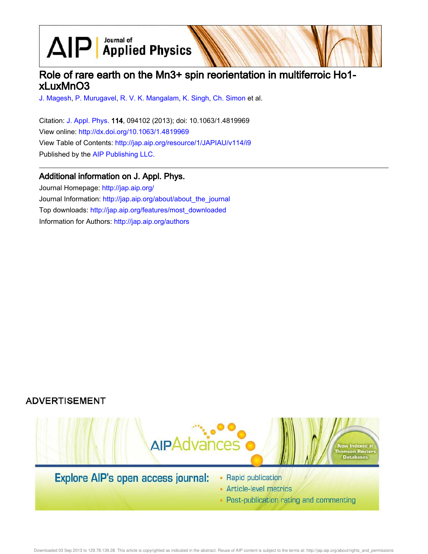$\text{AlP}$  Applied Physics

## Role of rare earth on the Mn3+ spin reorientation in multiferroic Ho1 xLuxMnO3

J. Magesh, P. Murugavel, R. V. K. Mangalam, K. Singh, Ch. Simon et al.

Citation: J. Appl. Phys. 114, 094102 (2013); doi: 10.1063/1.4819969 View online: http://dx.doi.org/10.1063/1.4819969 View Table of Contents: http://jap.aip.org/resource/1/JAPIAU/v114/i9 Published by the AIP Publishing LLC.

### Additional information on J. Appl. Phys.

Journal Homepage: http://jap.aip.org/ Journal Information: http://jap.aip.org/about/about\_the\_journal Top downloads: http://jap.aip.org/features/most\_downloaded Information for Authors: http://jap.aip.org/authors

## **ADVERTISEMENT**



Downloaded 03 Sep 2013 to 129.78.139.28. This article is copyrighted as indicated in the abstract. Reuse of AIP content is subject to the terms at: http://jap.aip.org/about/rights\_and\_permissions

• Post-publication rating and commenting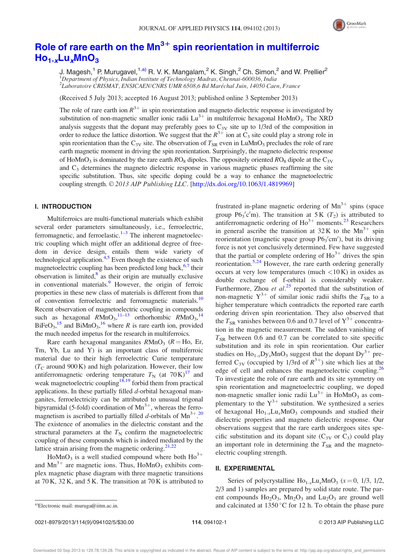

# Role of rare earth on the  $Mn^{3+}$  spin reorientation in multiferroic  $Ho_{1-x}Lu_xMnO_3$

J. Magesh,<sup>1</sup> P. Murugavel,<sup>1,a)</sup> R. V. K. Mangalam,<sup>2</sup> K. Singh,<sup>2</sup> Ch. Simon,<sup>2</sup> and W. Prellier<sup>2</sup>  $1$ Department of Physics, Indian Institute of Technology Madras, Chennai-600036, India <sup>2</sup>Laboratoire CRISMAT, ENSICAEN/CNRS UMR 6508,6 Bd Maréchal Juin, 14050 Caen, France

(Received 5 July 2013; accepted 16 August 2013; published online 3 September 2013)

The role of rare earth ion  $R^{3+}$  in spin reorientation and magneto dielectric response is investigated by substitution of non-magnetic smaller ionic radii  $Lu^{3+}$  in multiferroic hexagonal HoMnO<sub>3</sub>. The XRD analysis suggests that the dopant may preferably goes to  $C_{3V}$  site up to 1/3rd of the composition in order to reduce the lattice distortion. We suggest that the  $R^{3+}$  ion at  $C_3$  site could play a strong role in spin reorientation than the  $C_{3V}$  site. The observation of  $T_{SR}$  even in LuMnO<sub>3</sub> precludes the role of rare earth magnetic moment in driving the spin reorientation. Surprisingly, the magneto dielectric response of HoMnO<sub>3</sub> is dominated by the rare earth  $RO_8$  dipoles. The oppositely oriented  $RO_8$  dipole at the  $C_{3V}$ and  $C_3$  determines the magneto dielectric response in various magnetic phases reaffirming the site specific substitution. Thus, site specific doping could be a way to enhance the magnetoelectric coupling strength. © 2013 AIP Publishing LLC. [http://dx.doi.org/10.1063/1.4819969]

#### I. INTRODUCTION

Multiferroics are multi-functional materials which exhibit several order parameters simultaneously, i.e., ferroelectric, ferromagnetic, and ferroelastic. $1-3$  The inherent magnetoelectric coupling which might offer an additional degree of freedom in device design, entails them wide variety of technological application.<sup>4,5</sup> Even though the existence of such magnetoelectric coupling has been predicted long back, <sup>6,7</sup> their observation is limited,<sup>8</sup> as their origin are mutually exclusive in conventional materials.<sup>9</sup> However, the origin of ferroic properties in these new class of materials is different from that of convention ferroelectric and ferromagnetic materials.<sup>10</sup> Recent observation of magnetoelectric coupling in compounds such as hexagonal  $R\text{MnO}_3$ ,  $^{11-13}$  orthorhombic  $R\text{MnO}_3$ ,  $^{14}$ BiFeO<sub>3</sub>,<sup>15</sup> and BiMnO<sub>3</sub>,<sup>16</sup> where R is rare earth ion, provided the much needed impetus for the research in multiferroics.

Rare earth hexagonal manganites  $R M n O<sub>3</sub>$  ( $R = H$ o, Er, Tm, Yb, Lu and Y) is an important class of multiferroic material due to their high ferroelectric Curie temperature  $(T_{\rm C}$  around 900 K) and high polarization. However, their low antiferromagnetic ordering temperature  $T_N$  (at 70 K)<sup>17</sup> and weak magnetoelectric coupling<sup>18,19</sup> forbid them from practical applications. In these partially filled  $d$ -orbital hexagonal manganites, ferroelectricity can be attributed to unusual trigonal bipyramidal (5-fold) coordination of  $Mn^{3+}$ , whereas the ferromagnetism is ascribed to partially filled d-orbitals of  $Mn^{3+20}$ The existence of anomalies in the dielectric constant and the structural parameters at the  $T<sub>N</sub>$  confirm the magnetoelectric coupling of these compounds which is indeed mediated by the lattice strain arising from the magnetic ordering. $21,22$ 

HoMnO<sub>3</sub> is a well studied compound where both  $\text{Ho}^{3+}$ and  $Mn^{3+}$  are magnetic ions. Thus, HoMnO<sub>3</sub> exhibits complex magnetic phase diagram with three magnetic transitions at  $70 \text{ K}$ ,  $32 \text{ K}$ , and  $5 \text{ K}$ . The transition at  $70 \text{ K}$  is attributed to

frustrated in-plane magnetic ordering of  $Mn^{3+}$  spins (space group  $P6_3'c'm$ ). The transition at 5 K ( $T_2$ ) is attributed to antiferromagnetic ordering of  $Ho^{3+}$  moments.<sup>23</sup> Researchers in general ascribe the transition at  $32K$  to the  $Mn^{3+}$  spin reorientation (magnetic space group P6<sub>3</sub>'cm'), but its driving force is not yet conclusively determined. Few have suggested that the partial or complete ordering of  $Ho^{3+}$  drives the spin reorientation.<sup>5,24</sup> However, the rare earth ordering generally occurs at very low temperatures (much <10 K) in oxides as double exchange of f-orbital is considerably weaker. Furthermore, Zhou *et al.*<sup>25</sup> reported that the substitution of non-magnetic  $Y^{3+}$  of similar ionic radii shifts the  $T_{SR}$  to a higher temperature which contradicts the reported rare earth ordering driven spin reorientation. They also observed that the  $T_{SR}$  vanishes between 0.6 and 0.7 level of  $Y^{3+}$  concentration in the magnetic measurement. The sudden vanishing of  $T_{SR}$  between 0.6 and 0.7 can be correlated to site specific substitution and its role in spin reorientation. Our earlier studies on  $\text{Ho}_{1-x} \text{Dy}_x \text{MnO}_3$  suggest that the dopant  $\text{Dy}^{3+}$  preferred C<sub>3V</sub> (occupied by 1/3rd of  $R^{3+}$ ) site which lies at the edge of cell and enhances the magnetoelectric coupling.<sup>26</sup> To investigate the role of rare earth and its site symmetry on spin reorientation and magnetoelectric coupling, we doped non-magnetic smaller ionic radii  $Lu^{3+}$  in HoMnO<sub>3</sub> as complementary to the  $Y^{3+}$  substitution. We synthesized a series of hexagonal  $Ho_{1-x}Lu_xMnO_3$  compounds and studied their dielectric properties and magneto dielectric response. Our observations suggest that the rare earth undergoes sites specific substitution and its dopant site  $(C_{3V}$  or  $C_3$ ) could play an important role in determining the  $T_{SR}$  and the magnetoelectric coupling strength.

#### II. EXPERIMENTAL

Series of polycrystalline  $\text{Ho}_{1-x}\text{Lu}_x\text{MnO}_3$  ( $x = 0, 1/3, 1/2,$ 2/3 and 1) samples are prepared by solid state route. The parent compounds  $Ho<sub>2</sub>O<sub>3</sub>$ ,  $Mn<sub>2</sub>O<sub>3</sub>$  and  $Lu<sub>2</sub>O<sub>3</sub>$  are ground well a)Electronic mail: muruga@iitm.ac.in.  $\qquad \qquad$  and calcinated at 1350 °C for 12 h. To obtain the phase pure

0021-8979/2013/114(9)/094102/5/\$30.00 114, 094102-1 © 2013 AIP Publishing LLC

Downloaded 03 Sep 2013 to 129.78.139.28. This article is copyrighted as indicated in the abstract. Reuse of AIP content is subject to the terms at: http://jap.aip.org/about/rights\_and\_permissions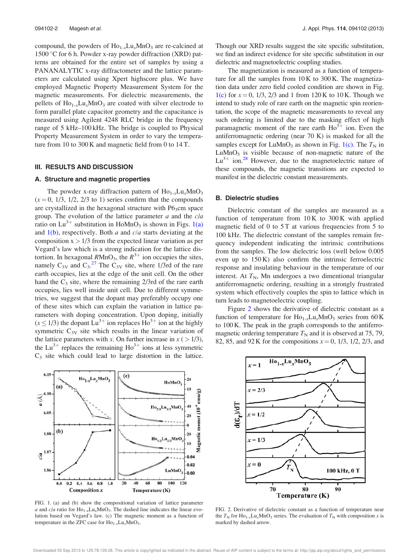compound, the powders of  $\text{Ho}_{1-x}\text{Lu}_x\text{MnO}_3$  are re-calcined at 1500 °C for 6 h. Powder x-ray powder diffraction (XRD) patterns are obtained for the entire set of samples by using a PANANALYTIC x-ray diffractometer and the lattice parameters are calculated using Xpert highscore plus. We have employed Magnetic Property Measurement System for the magnetic measurements. For dielectric measurements, the pellets of  $Ho_{1-x}Lu_xMnO_3$  are coated with silver electrode to form parallel plate capacitor geometry and the capacitance is measured using Agilent 4248 RLC bridge in the frequency range of 5 kHz–100 kHz. The bridge is coupled to Physical Property Measurement System in order to vary the temperature from 10 to 300 K and magnetic field from 0 to 14 T.

#### III. RESULTS AND DISCUSSION

#### A. Structure and magnetic properties

The powder x-ray diffraction pattern of  $Ho_{1-x}Lu_xMnO_3$  $(x = 0, 1/3, 1/2, 2/3$  to 1) series confirm that the compounds are crystallized in the hexagonal structure with  $P6<sub>3</sub>cm$  space group. The evolution of the lattice parameter  $a$  and the  $c/a$ ratio on Lu<sup>3+</sup> substitution in HoMnO<sub>3</sub> is shown in Figs. 1(a) and  $1(b)$ , respectively. Both a and  $c/a$  starts deviating at the composition  $x > 1/3$  from the expected linear variation as per Vegard's law which is a strong indication for the lattice distortion. In hexagonal  $RMnO_3$ , the  $R^{3+}$  ion occupies the sites, namely  $C_{3V}$  and  $C_3$ .<sup>27</sup> The  $C_{3V}$  site, where 1/3rd of the rare earth occupies, lies at the edge of the unit cell. On the other hand the  $C_3$  site, where the remaining  $2/3$ rd of the rare earth occupies, lies well inside unit cell. Due to different symmetries, we suggest that the dopant may preferably occupy one of these sites which can explain the variation in lattice parameters with doping concentration. Upon doping, initially  $(x \le 1/3)$  the dopant Lu<sup>3+</sup> ion replaces Ho<sup>3+</sup> ion at the highly symmetric  $C_{3V}$  site which results in the linear variation of the lattice parameters with x. On further increase in  $x$  (  $> 1/3$ ), the Lu<sup>3+</sup> replaces the remaining  $\text{Ho}^{3+}$  ions at less symmetric  $C_3$  site which could lead to large distortion in the lattice.



FIG. 1. (a) and (b) show the compositional variation of lattice parameter a and  $c/a$  ratio for  $Ho_{1-x}Lu_xMnO_3$ . The dashed line indicates the linear evolution based on Vegard's law. (c) The magnetic moment as a function of temperature in the ZFC case for  $\text{Ho}_{1-x}\text{Lu}_x\text{MnO}_3$ .

Though our XRD results suggest the site specific substitution, we find an indirect evidence for site specific substitution in our dielectric and magnetoelectric coupling studies.

The magnetization is measured as a function of temperature for all the samples from 10 K to 300 K. The magnetization data under zero field cooled condition are shown in Fig. 1(c) for  $x = 0$ , 1/3, 2/3 and 1 from 120 K to 10 K. Though we intend to study role of rare earth on the magnetic spin reorientation, the scope of the magnetic measurements to reveal any such ordering is limited due to the masking effect of high paramagnetic moment of the rare earth  $\text{Ho}^{3+}$  ion. Even the antiferromagnetic ordering (near 70 K) is masked for all the samples except for LuMnO<sub>3</sub> as shown in Fig. 1(c). The  $T<sub>N</sub>$  in  $LuMnO<sub>3</sub>$  is visible because of non-magnetic nature of the  $Lu^{3+}$  ion.<sup>28</sup> However, due to the magnetoelectric nature of these compounds, the magnetic transitions are expected to manifest in the dielectric constant measurements.

#### B. Dielectric studies

Dielectric constant of the samples are measured as a function of temperature from  $10K$  to  $300K$  with applied magnetic field of 0 to 5 T at various frequencies from 5 to 100 kHz. The dielectric constant of the samples remain frequency independent indicating the intrinsic contributions from the samples. The low dielectric loss (well below 0.005 even up to 150 K) also confirm the intrinsic ferroelectric response and insulating behaviour in the temperature of our interest. At  $T_N$ , Mn undergoes a two dimentional triangular antiferromagnetic ordering, resulting in a strongly frustrated system which effectively couples the spin to lattice which in turn leads to magnetoelectric coupling.

Figure 2 shows the derivative of dielectric constant as a function of temperature for  $Ho_{1-x}Lu_xMnO_3$  series from 60 K to 100 K. The peak in the graph corresponds to the antiferromagnetic ordering temperature  $T_N$  and it is observed at 75, 79, 82, 85, and 92 K for the compositions  $x = 0$ , 1/3, 1/2, 2/3, and



FIG. 2. Derivative of dielectric constant as a function of temperature near the  $T_N$  for Ho<sub>1-x</sub>Lu<sub>x</sub>MnO<sub>3</sub> series. The evaluation of  $T_N$  with composition x is marked by dashed arrow.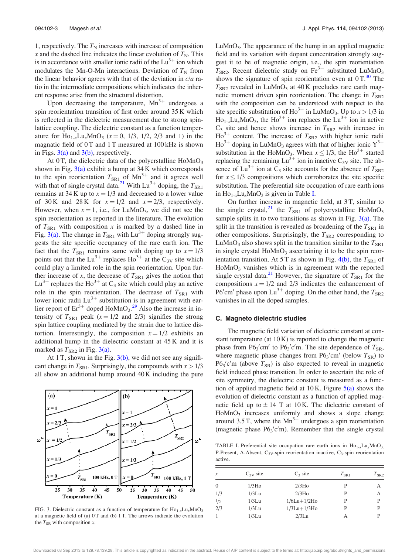1, respectively. The  $T_N$  increases with increase of composition x and the dashed line indicates the linear evolution of  $T_N$ . This is in accordance with smaller ionic radii of the  $Lu^{3+}$  ion which modulates the Mn-O-Mn interactions. Deviation of  $T<sub>N</sub>$  from the linear behavior agrees with that of the deviation in  $c/a$  ratio in the intermediate compositions which indicates the inherent response arise from the structural distortion.

Upon decreasing the temperature,  $Mn^{3+}$  undergoes a spin reorientation transition of first order around 35 K which is reflected in the dielectric measurement due to strong spinlattice coupling. The dielectric constant as a function temperature for  $\text{Ho}_{1-x}\text{Lu}_x\text{MnO}_3$  ( $x = 0, 1/3, 1/2, 2/3$  and 1) in the magnatic field of  $0T$  and  $1T$  measured at  $100$  kHz is shown in Figs.  $3(a)$  and  $3(b)$ , respectively.

At  $0$ T, the dielectric data of the polycrstalline  $H \text{o} M nO_3$ shown in Fig.  $3(a)$  exhibit a hump at  $34$  K which corresponds to the spin reorientation  $T_{\text{SRI}}$  of Mn<sup>3+</sup> and it agrees well with that of single crystal data.<sup>21</sup> With  $Lu^{3+}$  doping, the  $T_{SR1}$ remains at 34 K up to  $x = 1/3$  and decreased to a lower value of 30 K and 28 K for  $x = 1/2$  and  $x = 2/3$ , respectively. However, when  $x = 1$ , i.e., for LuMnO<sub>3</sub>, we did not see the spin reorientation as reported in the literature. The evolution of  $T_{SR1}$  with composition x is marked by a dashed line in Fig. 3(a). The change in  $T_{SR1}$  with Lu<sup>3+</sup> doping strongly suggests the site specific occupancy of the rare earth ion. The fact that the  $T_{\rm SR1}$  remains same with doping up to  $x = 1/3$ points out that the  $Lu^{3+}$  replaces  $Ho^{3+}$  at the  $C_{3V}$  site which could play a limited role in the spin reorientation. Upon further increase of  $x$ , the decrease of  $T_{SR1}$  gives the notion that  $Lu^{3+}$  replaces the Ho<sup>3+</sup> at C<sub>3</sub> site which could play an active role in the spin reorientation. The decrease of  $T_{SR1}$  with lower ionic radii  $Lu^{3+}$  substitution is in agreement with earlier report of  $Er^{3+}$  doped  $Hom_{9a}^{29}$  Also the increase in intensity of  $T_{SR1}$  peak ( $x = 1/2$  and  $2/3$ ) signifies the strong spin lattice coupling mediated by the strain due to lattice distortion. Interestingly, the composition  $x = 1/2$  exhibits an additional hump in the dielectric constant at 45 K and it is marked as  $T_{SR2}$  in Fig. 3(a).

At 1 T, shown in the Fig.  $3(b)$ , we did not see any significant change in  $T_{SR1}$ . Surprisingly, the compounds with  $x > 1/3$ all show an additional hump around 40 K including the pure



FIG. 3. Dielectric constant as a function of temperature for  $Ho_{1-x}Lu_xMnO_3$ at a magnetic field of (a)  $0T$  and (b)  $1T$ . The arrows indicate the evolution the  $T_{SR}$  with composition x.

LuMnO<sub>3</sub>. The appearance of the hump in an applied magnetic field and its variation with dopant concentration strongly suggest it to be of magnetic origin, i.e., the spin reorientation  $T_{SR2}$ . Recent dielectric study on Fe<sup>3+</sup> substituted LuMnO<sub>3</sub> shows the signature of spin reorientation even at  $0 T<sup>30</sup>$ . The  $T<sub>SR2</sub>$  revealed in LuMnO<sub>3</sub> at 40 K precludes rare earth magnetic moment driven spin reorientation. The change in  $T_{SR2}$ with the composition can be understood with respect to the site specific substitution of  $Ho^{3+}$  in LuMnO<sub>3</sub>. Up to  $x > 1/3$  in  $\text{Ho}_{1-x}\text{Lu}_x\text{MnO}_3$ , the  $\text{Ho}^{3+}$  ion replaces the  $\text{Lu}^{3+}$  ion in active  $C_3$  site and hence shows increase in  $T_{SR2}$  with increase in  $\overline{Ho}^{3+}$  content. The increase of  $T_{SR2}$  with higher ionic radii  $Ho^{3+}$  doping in LuMnO<sub>3</sub> agrees with that of higher ionic  $Y^{3+}$ substitution in the HoMnO<sub>3</sub>. When  $x \le 1/3$ , the Ho<sup>3+</sup> started replacing the remaining  $Lu^{3+}$  ion in inactive  $C_{3V}$  site. The absence of  $Lu^{3+}$  ion at  $C_3$  site accounts for the absence of  $T_{SR2}$ for  $x \leq 1/3$  compositions which corroborates the site specific substitution. The preferential site occupation of rare earth ions in  $Ho_{1-x}Lu_xMnO_3$  is given in Table I.

On further increase in magnetic field, at 3 T, similar to the single crystal,<sup>21</sup> the  $T_{SR1}$  of polycrystalline HoMnO<sub>3</sub> sample splits in to two transitions as shown in Fig.  $3(a)$ . The split in the transition is revealed as broadening of the  $T<sub>SR1</sub>$  in other compositions. Surprisingly, the  $T_{SR2}$  corresponding to LuMnO<sub>3</sub> also shows split in the transition similar to the  $T_{\rm SR1}$ in single crystal  $H \circ MnO_3$  ascertaining it to be the spin reorientation transition. At 5 T as shown in Fig. 4(b), the  $T_{SR1}$  of HoMnO<sub>3</sub> vanishes which is in agreement with the reported single crystal data.<sup>21</sup> However, the signature of  $T_{SR1}$  for the compositions  $x = 1/2$  and  $2/3$  indicates the enhancement of P6<sup>'</sup>cm' phase upon  $Lu^{3+}$  doping. On the other hand, the  $T_{SR2}$ vanishes in all the doped samples.

#### C. Magneto dielectric studies

The magnetic field variation of dielectric constant at constant temperature (at  $10 K$ ) is reported to change the magnetic phase from  $P6_3'$ cm' to  $P6_3'$ c'm. The site dependence of  $T_{SR}$ , where magnetic phase changes from  $P6_3$ 'cm' (below  $T_{SR}$ ) to  $P6_3'c'm$  (above  $T_{SR}$ ) is also expected to reveal in magnetic field induced phase transition. In order to ascertain the role of site symmetry, the dielectric constant is measured as a function of applied magnetic field at  $10$  K. Figure  $5(a)$  shows the evolution of dielectric constant as a function of applied magnetic field up to  $\pm$  14 T at 10 K. The dielectric constant of HoMnO<sub>3</sub> increases uniformly and shows a slope change around 3.5 T, where the  $Mn^{3+}$  undergoes a spin reorientation (magnetic phase  $P6_3'c'm$ ). Remember that the single crystal

TABLE I. Preferential site occupation rare earth ions in  $Ho_{1-x}Lu_xMnO_3$ . P-Present, A-Absent,  $C_{3V}$ -spin reorientation inactive,  $C_{3}$ -spin reorientation active.

| $\mathcal{X}$ | $C_{3V}$ site     | $C_3$ site         | $T_{\rm SR1}$ | $T_{\rm SR2}$ |
|---------------|-------------------|--------------------|---------------|---------------|
| $\theta$      | 1/3H <sub>0</sub> | 2/3H <sub>0</sub>  | P             | А             |
| 1/3           | $1/3$ Lu          | 2/3H <sub>0</sub>  | P             | А             |
| 1/2           | $1/3$ Lu          | $1/6Lu+1/2Ho$      | P             | P             |
| 2/3           | $1/3$ Lu          | $1/3$ Lu $+1/3$ Ho | P             | P             |
|               | $1/3$ Lu          | $2/3$ Lu           | А             | P             |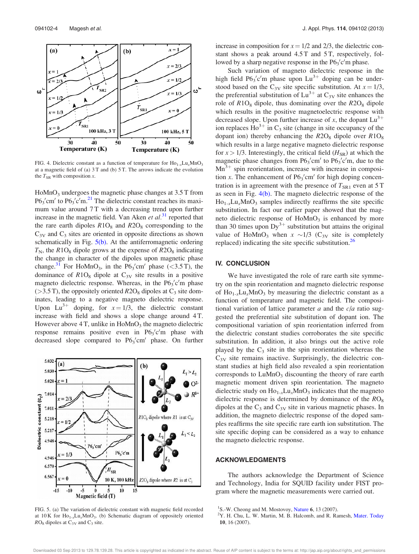

FIG. 4. Dielectric constant as a function of temperature for  $\text{Ho}_{1-x}\text{Lu}_x\text{MnO}_3$ at a magnetic field of (a) 3 T and (b) 5 T. The arrows indicate the evolution the  $T_{SR}$  with composition x.

 $H<sub>0</sub>MnO<sub>3</sub>$  undergoes the magnetic phase changes at 3.5 T from  $P6_3'$ cm' to  $P6_3'$ c'm.<sup>21</sup> The dielectric constant reaches its maximum value around 7T with a decreasing trend upon further increase in the magnetic field. Van Aken et  $al.^{31}$  reported that the rare earth dipoles  $R1O_8$  and  $R2O_8$  corresponding to the  $C_{3V}$  and  $C_3$  sites are oriented in opposite directions as shown schematically in Fig.  $5(b)$ . At the antiferromagnetic ordering  $T_N$ , the R1O<sub>8</sub> dipole grows at the expense of R2O<sub>8</sub> indicating the change in character of the dipoles upon magnetic phase change.<sup>31</sup> For HoMnO<sub>3</sub>, in the  $P6_3$ 'cm' phase (<3.5 T), the dominance of  $R1O_8$  dipole at  $C_{3V}$  site results in a positive magneto dielectric response. Whereas, in the  $P6_3'c'm$  phase  $(>3.5 \text{ T})$ , the oppositely oriented  $R2O_8$  dipoles at  $C_3$  site dominates, leading to a negative magneto dielectric response. Upon Lu<sup>3+</sup> doping, for  $x = 1/3$ , the dielectric constant increase with field and shows a slope change around 4 T. However above  $4$  T, unlike in HoMnO<sub>3</sub> the magneto dielectric response remains positive even in  $P6_3'c'm$  phase with decreased slope compared to  $P6_3$ 'cm' phase. On further



FIG. 5. (a) The variation of dielectric constant with magnetic field recorded at  $10 \text{ K}$  for  $\text{Ho}_{1-x}\text{Lu}_x\text{MnO}_3$ . (b) Schematic diagram of oppositely oriented  $RO_8$  dipoles at  $C_{3V}$  and  $C_3$  site.

increase in composition for  $x = 1/2$  and 2/3, the dielectric constant shows a peak around 4.5 T and 5 T, respectively, followed by a sharp negative response in the  $P6_3'c'm$  phase.

Such variation of magneto dielectric response in the high field  $P6_3'c'm$  phase upon  $Lu^{3+}$  doping can be understood based on the C<sub>3V</sub> site specific substitution. At  $x = 1/3$ , the preferential substitution of  $Lu^{3+}$  at  $C_{3V}$  site enhances the role of  $R1O_8$  dipole, thus dominating over the  $R2O_8$  dipole which results in the positive magnetoelectric response with decreased slope. Upon further increase of x, the dopant  $Lu^{3+}$ ion replaces  $\text{Ho}^{3+}$  in C<sub>3</sub> site (change in site occupancy of the dopant ion) thereby enhancing the  $R2O_8$  dipole over  $R1O_8$ which results in a large negative magneto dielectric response for  $x > 1/3$ . Interestingly, the critical field  $(H_{SR})$  at which the magnetic phase changes from  $P6_3'$ cm' to  $P6_3'$ c'm, due to the  $Mn^{3+}$  spin reorientation, increase with increase in composition x. The enhancement of  $P6_3$ 'cm' for high doping concentration is in agreement with the presence of  $T_{SR1}$  even at 5 T as seen in Fig. 4(b). The magneto dielectric response of the  $Ho_{1-x}Lu_xMnO_3$  samples indirectly reaffirms the site specific substitution. In fact our earlier paper showed that the magneto dielectric response of  $H \circ MnO_3$  is enhanced by more than 30 times upon  $Dy^{3+}$  substitution but attains the original value of HoMnO<sub>3</sub> when  $x \sim 1/3$  (C<sub>3V</sub> site is completely replaced) indicating the site specific substitution.<sup>26</sup>

#### IV. CONCLUSION

We have investigated the role of rare earth site symmetry on the spin reorientation and magneto dielectric response of  $Ho_{1-x}Lu_xMnO_3$  by measuring the dielectric constant as a function of temperature and magnetic field. The compositional variation of lattice parameter  $a$  and the  $c/a$  ratio suggested the preferential site substitution of dopant ion. The compositional variation of spin reorientation inferred from the dielectric constant studies corroborates the site specific substitution. In addition, it also brings out the active role played by the  $C_3$  site in the spin reorientation whereas the  $C_{3V}$  site remains inactive. Surprisingly, the dielectric constant studies at high field also revealed a spin reorientation corresponds to  $LuMnO<sub>3</sub>$  discounting the theory of rare earth magnetic moment driven spin reorientation. The magneto dielectric study on  $\text{Ho}_{1-x}\text{Lu}_x\text{MnO}_3$  indicates that the magneto dielectric response is determined by dominance of the  $RO_8$ dipoles at the  $C_3$  and  $C_{3V}$  site in various magnetic phases. In addition, the magneto dielectric response of the doped samples reaffirms the site specific rare earth ion substitution. The site specific doping can be considered as a way to enhance the magneto dielectric response.

#### ACKNOWLEDGMENTS

The authors acknowledge the Department of Science and Technology, India for SQUID facility under FIST program where the magnetic measurements were carried out.

Downloaded 03 Sep 2013 to 129.78.139.28. This article is copyrighted as indicated in the abstract. Reuse of AIP content is subject to the terms at: http://jap.aip.org/about/rights\_and\_permissions

<sup>&</sup>lt;sup>1</sup>S.-W. Cheong and M. Mostovoy, Nature 6, 13 (2007).

<sup>&</sup>lt;sup>2</sup>Y. H. Chu, L. W. Martin, M. B. Halcomb, and R. Ramesh, Mater. Today 10, 16 (2007).